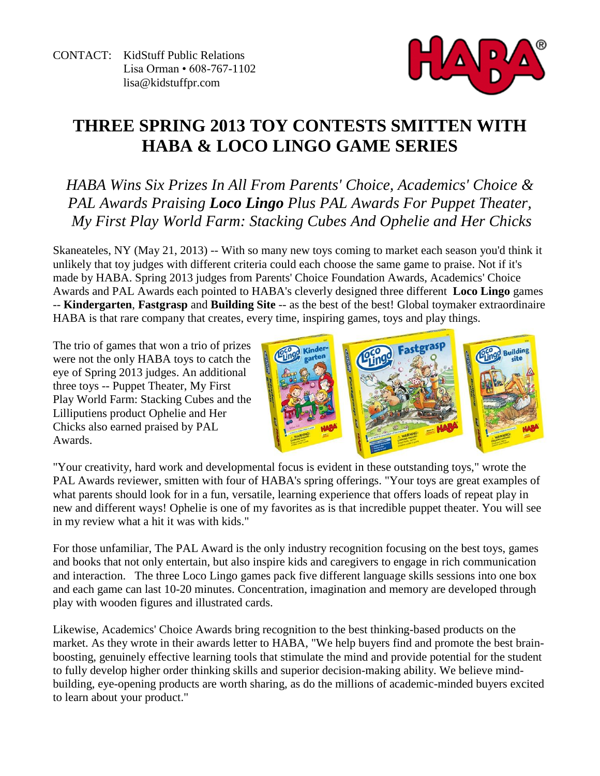

# **THREE SPRING 2013 TOY CONTESTS SMITTEN WITH HABA & LOCO LINGO GAME SERIES**

*HABA Wins Six Prizes In All From Parents' Choice, Academics' Choice & PAL Awards Praising Loco Lingo Plus PAL Awards For Puppet Theater, My First Play World Farm: Stacking Cubes And Ophelie and Her Chicks*

Skaneateles, NY (May 21, 2013) -- With so many new toys coming to market each season you'd think it unlikely that toy judges with different criteria could each choose the same game to praise. Not if it's made by HABA. Spring 2013 judges from Parents' Choice Foundation Awards, Academics' Choice Awards and PAL Awards each pointed to HABA's cleverly designed three different **Loco Lingo** games -- **Kindergarten**, **Fastgrasp** and **Building Site** -- as the best of the best! Global toymaker extraordinaire HABA is that rare company that creates, every time, inspiring games, toys and play things.

The trio of games that won a trio of prizes were not the only HABA toys to catch the eye of Spring 2013 judges. An additional three toys -- Puppet Theater, My First Play World Farm: Stacking Cubes and the Lilliputiens product Ophelie and Her Chicks also earned praised by PAL Awards.



"Your creativity, hard work and developmental focus is evident in these outstanding toys," wrote the PAL Awards reviewer, smitten with four of HABA's spring offerings. "Your toys are great examples of what parents should look for in a fun, versatile, learning experience that offers loads of repeat play in new and different ways! Ophelie is one of my favorites as is that incredible puppet theater. You will see in my review what a hit it was with kids."

For those unfamiliar, The PAL Award is the only industry recognition focusing on the best toys, games and books that not only entertain, but also inspire kids and caregivers to engage in rich communication and interaction. The three Loco Lingo games pack five different language skills sessions into one box and each game can last 10-20 minutes. Concentration, imagination and memory are developed through play with wooden figures and illustrated cards.

Likewise, Academics' Choice Awards bring recognition to the best thinking-based products on the market. As they wrote in their awards letter to HABA, "We help buyers find and promote the best brainboosting, genuinely effective learning tools that stimulate the mind and provide potential for the student to fully develop higher order thinking skills and superior decision-making ability. We believe mindbuilding, eye-opening products are worth sharing, as do the millions of academic-minded buyers excited to learn about your product."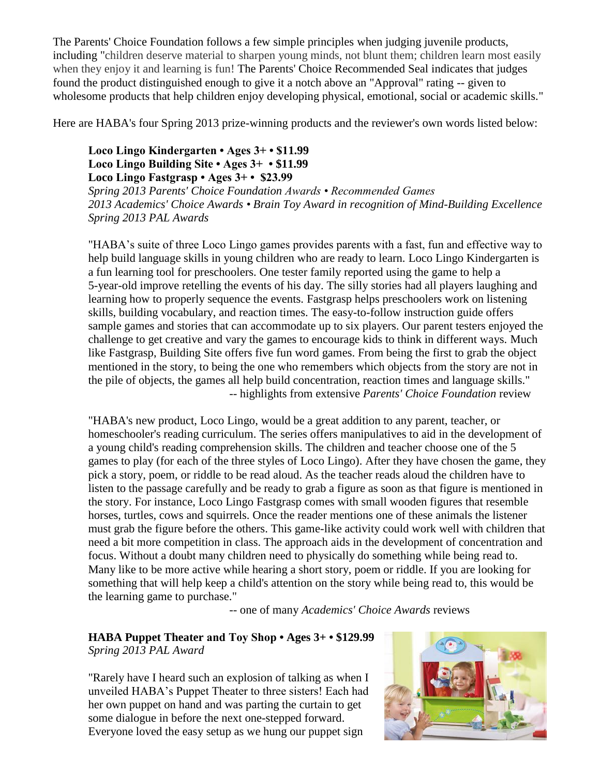The Parents' Choice Foundation follows a few simple principles when judging juvenile products, including "children deserve material to sharpen young minds, not blunt them; children learn most easily when they enjoy it and learning is fun! The Parents' Choice Recommended Seal indicates that judges found the product distinguished enough to give it a notch above an "Approval" rating -- given to wholesome products that help children enjoy developing physical, emotional, social or academic skills."

Here are HABA's four Spring 2013 prize-winning products and the reviewer's own words listed below:

#### **Loco Lingo Kindergarten • Ages 3+ • \$11.99 Loco Lingo Building Site • Ages 3+ • \$11.99 Loco Lingo Fastgrasp • Ages 3+ • \$23.99**

*Spring 2013 Parents' Choice Foundation Awards • Recommended Games 2013 Academics' Choice Awards • Brain Toy Award in recognition of Mind-Building Excellence Spring 2013 PAL Awards* 

"HABA's suite of three Loco Lingo games provides parents with a fast, fun and effective way to help build language skills in young children who are ready to learn. Loco Lingo Kindergarten is a fun learning tool for preschoolers. One tester family reported using the game to help a 5-year-old improve retelling the events of his day. The silly stories had all players laughing and learning how to properly sequence the events. Fastgrasp helps preschoolers work on listening skills, building vocabulary, and reaction times. The easy-to-follow instruction guide offers sample games and stories that can accommodate up to six players. Our parent testers enjoyed the challenge to get creative and vary the games to encourage kids to think in different ways. Much like Fastgrasp, Building Site offers five fun word games. From being the first to grab the object mentioned in the story, to being the one who remembers which objects from the story are not in the pile of objects, the games all help build concentration, reaction times and language skills." -- highlights from extensive *Parents' Choice Foundation* review

"HABA's new product, Loco Lingo, would be a great addition to any parent, teacher, or homeschooler's reading curriculum. The series offers manipulatives to aid in the development of a young child's reading comprehension skills. The children and teacher choose one of the 5 games to play (for each of the three styles of Loco Lingo). After they have chosen the game, they pick a story, poem, or riddle to be read aloud. As the teacher reads aloud the children have to listen to the passage carefully and be ready to grab a figure as soon as that figure is mentioned in the story. For instance, Loco Lingo Fastgrasp comes with small wooden figures that resemble horses, turtles, cows and squirrels. Once the reader mentions one of these animals the listener must grab the figure before the others. This game-like activity could work well with children that need a bit more competition in class. The approach aids in the development of concentration and focus. Without a doubt many children need to physically do something while being read to. Many like to be more active while hearing a short story, poem or riddle. If you are looking for something that will help keep a child's attention on the story while being read to, this would be the learning game to purchase."

-- one of many *Academics' Choice Awards* reviews

### **HABA Puppet Theater and Toy Shop • Ages 3+ • \$129.99** *Spring 2013 PAL Award*

"Rarely have I heard such an explosion of talking as when I unveiled HABA's Puppet Theater to three sisters! Each had her own puppet on hand and was parting the curtain to get some dialogue in before the next one-stepped forward. Everyone loved the easy setup as we hung our puppet sign